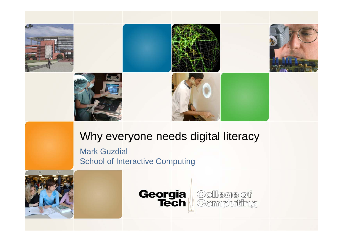

#### Why everyone needs digital literacy

Mark Guzdial School of Interactive Computing



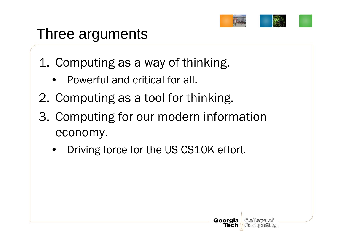

## Three arguments

- 1. Computing as a way of thinking.
	- Powerful and critical for all.
- 2. Computing as a tool for thinking.
- 3. Computing for our modern information economy.
	- •Driving force for the US CS10K effort.

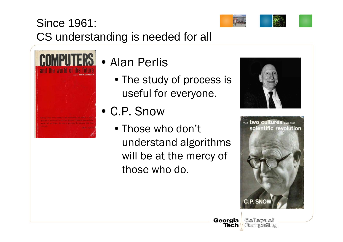

### Since 1961: CS understanding is needed for all



### • Alan Perlis

- The study of process is useful for everyone.
- C.P. Snow
	- Those who don't understand algorithms will be at the mercy of those who do.



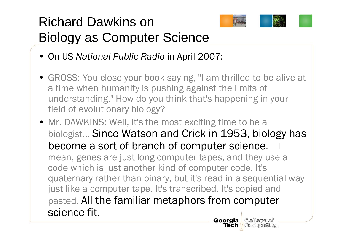## Richard Dawkins on Biology as Computer Science



Tech **Computing** 

- On US *National Public Radio* in April 2007:
- GROSS: You close your book saying, "I am thrilled to be alive at a time when humanity is pushing against the limits of understanding." How do you think that's happening in your field of evolutionary biology?
- Mr. DAWKINS: Well, it's the most exciting time to be a biologist… Since Watson and Crick in 1953, biology has become a sort of branch of computer science. mean, genes are just long computer tapes, and they use a code which is just another kind of computer code. It's quaternary rather than binary, but it's read in a sequential way just like a computer tape. It's transcribed. It's copied and pasted. All the familiar metaphors from computer science fit.**Georgia** College of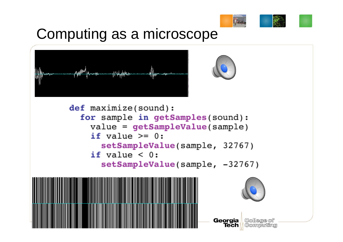

## Computing as a microscope





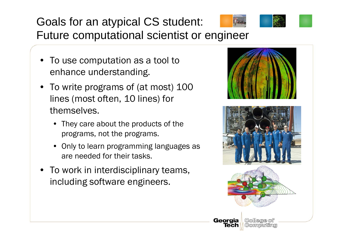## Goals for an atypical CS student:



Future computational scientist or engineer

- To use computation as a tool to enhance understanding.
- To write programs of (at most) 100 lines (most often, 10 lines) for themselves.
	- They care about the products of the programs, not the programs.
	- Only to learn programming languages as are needed for their tasks.
- To work in interdisciplinary teams, including software engineers.

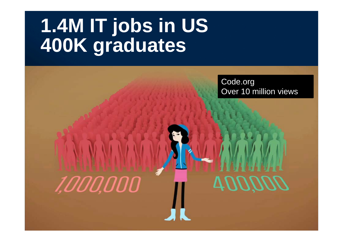# **1.4M IT jobs in US 400K graduates**

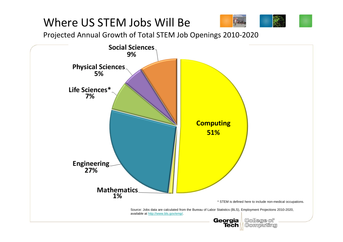#### Where US STEM Jobs Will Be



Projected Annual Growth of Total STEM Job Openings 2010‐2020

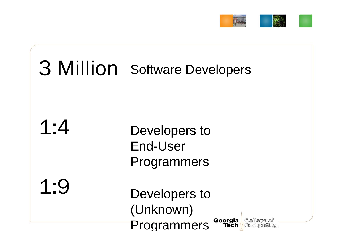

# 3 Million Software Developers

1:4

Developers to End-User Programmers

1:9

Developers to (Unknown) Georgia **Programmers Tech** 

College of Computing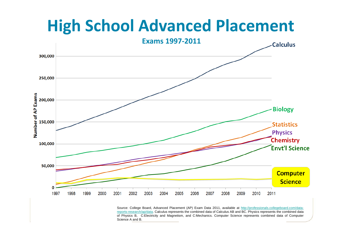# **High School Advanced Placement**



Source: College Board, Advanced Placement (AP) Exam Data 2011, available at http://professionals.collegeboard.com/datareports-research/ap/data. Calculus represents the combined data of Calculus AB and BC. Physics represents the combined data of Physics B, C:Electricity and Magnetism, and C:Mechanics. Computer Science represents combined data of Computer Science A and B.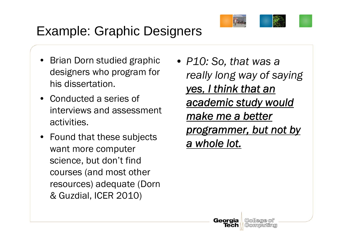

### Example: Graphic Designers

- • Brian Dorn studied graphic designers who program for his dissertation.
- Conducted a series of interviews and assessment activities.
- Found that these subjects want more computer science, but don't find courses (and most other resources) adequate (Dorn & Guzdial, ICER 2010)
- *P10: So, that was a really long way of saying yes, I think that an academic study would make me a better programmer, but not by a whole lot.*

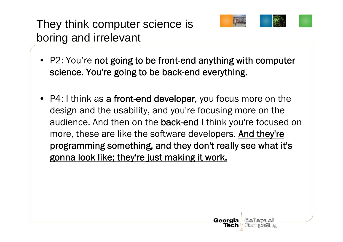They think computer science is boring and irrelevant



- P2: You're not going to be front-end anything with computer science. You're going to be back-end everything.
- P4: I think as a front-end developer, you focus more on the design and the usability, and you're focusing more on the audience. And then on the **back-end I** think you're focused on more, these are like the software developers. And they're programming something, and they don't really see what it's gonna look like; they're just making it work.

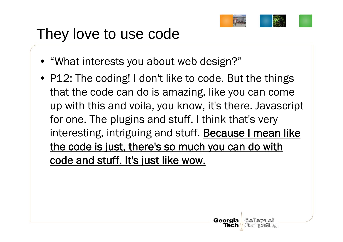

## They love to use code

- "What interests you about web design?"
- P12: The coding! I don't like to code. But the things that the code can do is amazing, like you can come up with this and voila, you know, it's there. Javascript for one. The plugins and stuff. I think that's very interesting, intriguing and stuff. Because I mean like the code is just, there's so much you can do with code and stuff. It's just like wow.

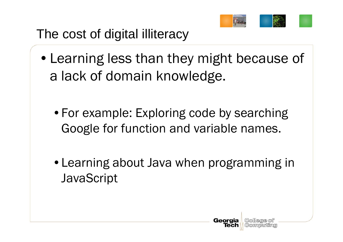

### The cost of digital illiteracy

- •Learning less than they might because of a lack of domain knowledge.
	- For example: Exploring code by searching Google for function and variable names.
	- •Learning about Java when programming in **JavaScript**

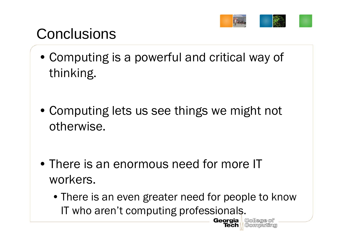

## **Conclusions**

- Computing is a powerful and critical way of thinking.
- Computing lets us see things we might not otherwise.
- There is an enormous need for more IT workers.
	- There is an even greater need for people to know IT who aren't computing professionals.**Georgia**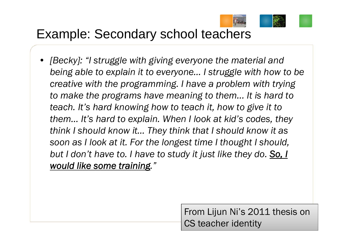

### Example: Secondary school teachers

• *[Becky]: "I struggle with giving everyone the material and being able to explain it to everyone… I struggle with how to be creative with the programming. I have a problem with trying to make the programs have meaning to them... It is hard to teach. It's hard knowing how to teach it, how to give it to them… It's hard to explain. When I look at kid's codes, they think I should know it… They think that I should know it as soon as I look at it. For the longest time I thought I should, but I don't have to. I have to study it just like they do. So, I would like some training."* 

> From Lijun Ni's 2011 thesis on CS teacher identity